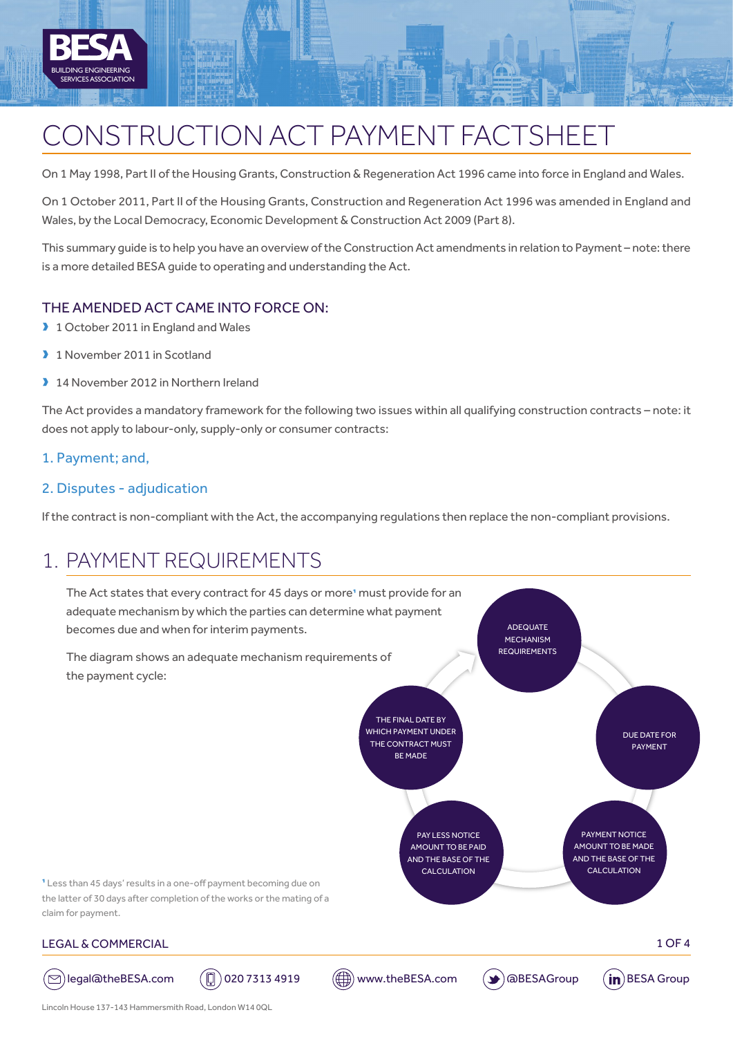

# CONSTRUCTION ACT PAYMENT FACTSHEET

On 1 May 1998, Part II of the Housing Grants, Construction & Regeneration Act 1996 came into force in England and Wales.

On 1 October 2011, Part II of the Housing Grants, Construction and Regeneration Act 1996 was amended in England and Wales, by the Local Democracy, Economic Development & Construction Act 2009 (Part 8).

This summary guide is to help you have an overview of the Construction Act amendments in relation to Payment – note: there is a more detailed BESA guide to operating and understanding the Act.

#### THE AMENDED ACT CAME INTO FORCE ON:

- 1 October 2011 in England and Wales
- 1 November 2011 in Scotland
- 14 November 2012 in Northern Ireland

The Act provides a mandatory framework for the following two issues within all qualifying construction contracts – note: it does not apply to labour-only, supply-only or consumer contracts:

1. Payment; and,

#### 2. Disputes - adjudication

If the contract is non-compliant with the Act, the accompanying regulations then replace the non-compliant provisions.

# 1. PAYMENT REQUIREMENTS

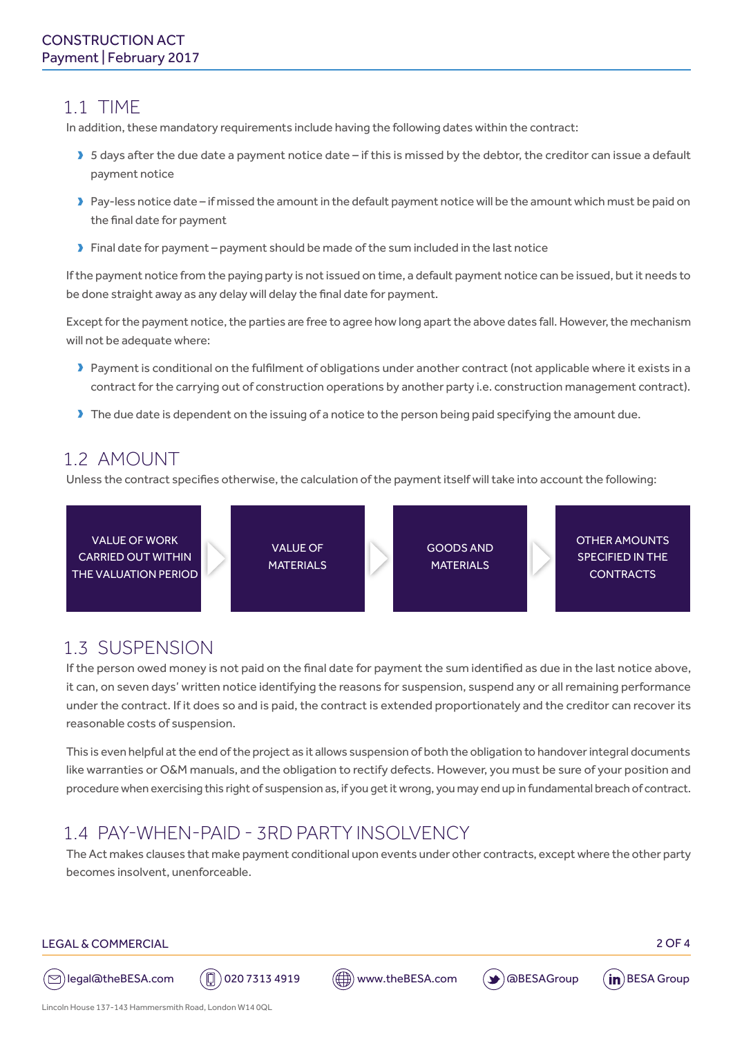### 1.1 TIME

In addition, these mandatory requirements include having the following dates within the contract:

- > 5 days after the due date a payment notice date if this is missed by the debtor, the creditor can issue a default payment notice
- Pay-less notice date if missed the amount in the default payment notice will be the amount which must be paid on the final date for payment
- $\blacktriangleright$  Final date for payment payment should be made of the sum included in the last notice

If the payment notice from the paying party is not issued on time, a default payment notice can be issued, but it needs to be done straight away as any delay will delay the final date for payment.

Except for the payment notice, the parties are free to agree how long apart the above dates fall. However, the mechanism will not be adequate where:

- Deayment is conditional on the fulfilment of obligations under another contract (not applicable where it exists in a contract for the carrying out of construction operations by another party i.e. construction management contract).
- $\blacktriangleright$  The due date is dependent on the issuing of a notice to the person being paid specifying the amount due.

### 1.2 AMOUNT

Unless the contract specifies otherwise, the calculation of the payment itself will take into account the following:



### 1.3 SUSPENSION

If the person owed money is not paid on the final date for payment the sum identified as due in the last notice above, it can, on seven days' written notice identifying the reasons for suspension, suspend any or all remaining performance under the contract. If it does so and is paid, the contract is extended proportionately and the creditor can recover its reasonable costs of suspension.

This is even helpful at the end of the project as it allows suspension of both the obligation to handover integral documents like warranties or O&M manuals, and the obligation to rectify defects. However, you must be sure of your position and procedure when exercising this right of suspension as, if you get it wrong, you may end up in fundamental breach of contract.

## 1.4 PAY-WHEN-PAID - 3RD PARTY INSOLVENCY

The Act makes clauses that make payment conditional upon events under other contracts, except where the other party becomes insolvent, unenforceable.

#### LEGAL & COMMERCIAL 2 OF 4









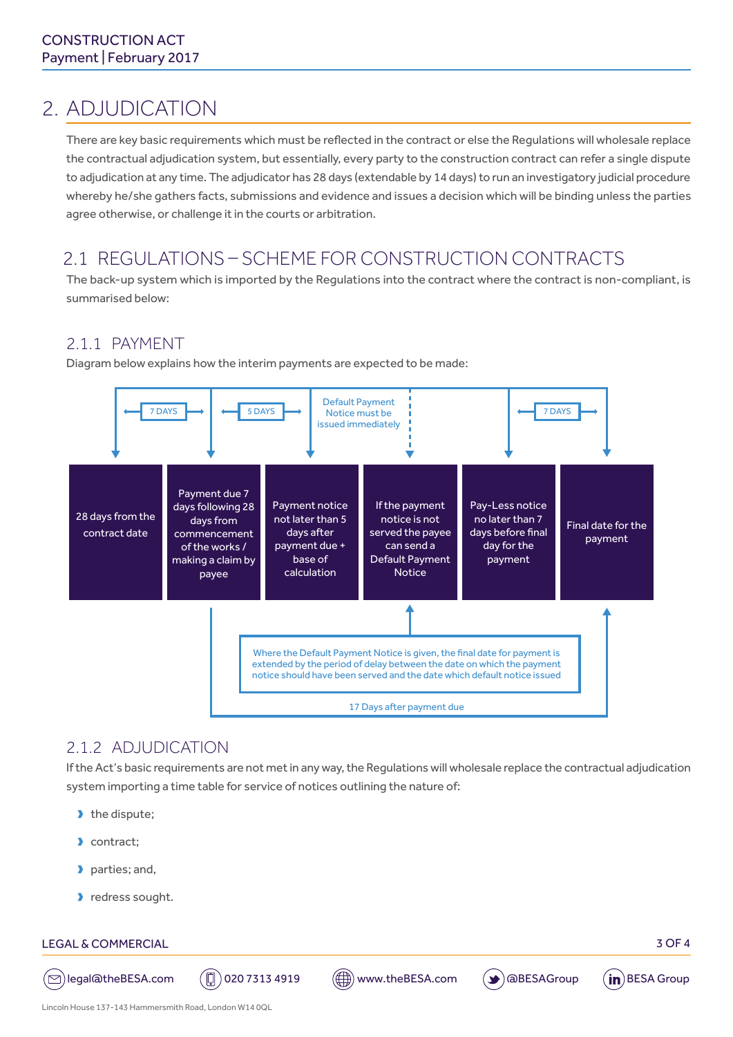# 2. ADJUDICATION

There are key basic requirements which must be reflected in the contract or else the Regulations will wholesale replace the contractual adjudication system, but essentially, every party to the construction contract can refer a single dispute to adjudication at any time. The adjudicator has 28 days (extendable by 14 days) to run an investigatory judicial procedure whereby he/she gathers facts, submissions and evidence and issues a decision which will be binding unless the parties agree otherwise, or challenge it in the courts or arbitration.

### 2.1 REGULATIONS – SCHEME FOR CONSTRUCTION CONTRACTS

The back-up system which is imported by the Regulations into the contract where the contract is non-compliant, is summarised below:

#### 2.1.1 PAYMENT

Diagram below explains how the interim payments are expected to be made:



### 2.1.2 ADJUDICATION

If the Act's basic requirements are not met in any way, the Regulations will wholesale replace the contractual adjudication system importing a time table for service of notices outlining the nature of:

- $\blacktriangleright$  the dispute;
- Contract;
- parties; and,
- lackers sought.

#### LEGAL & COMMERCIAL 3 OF 4